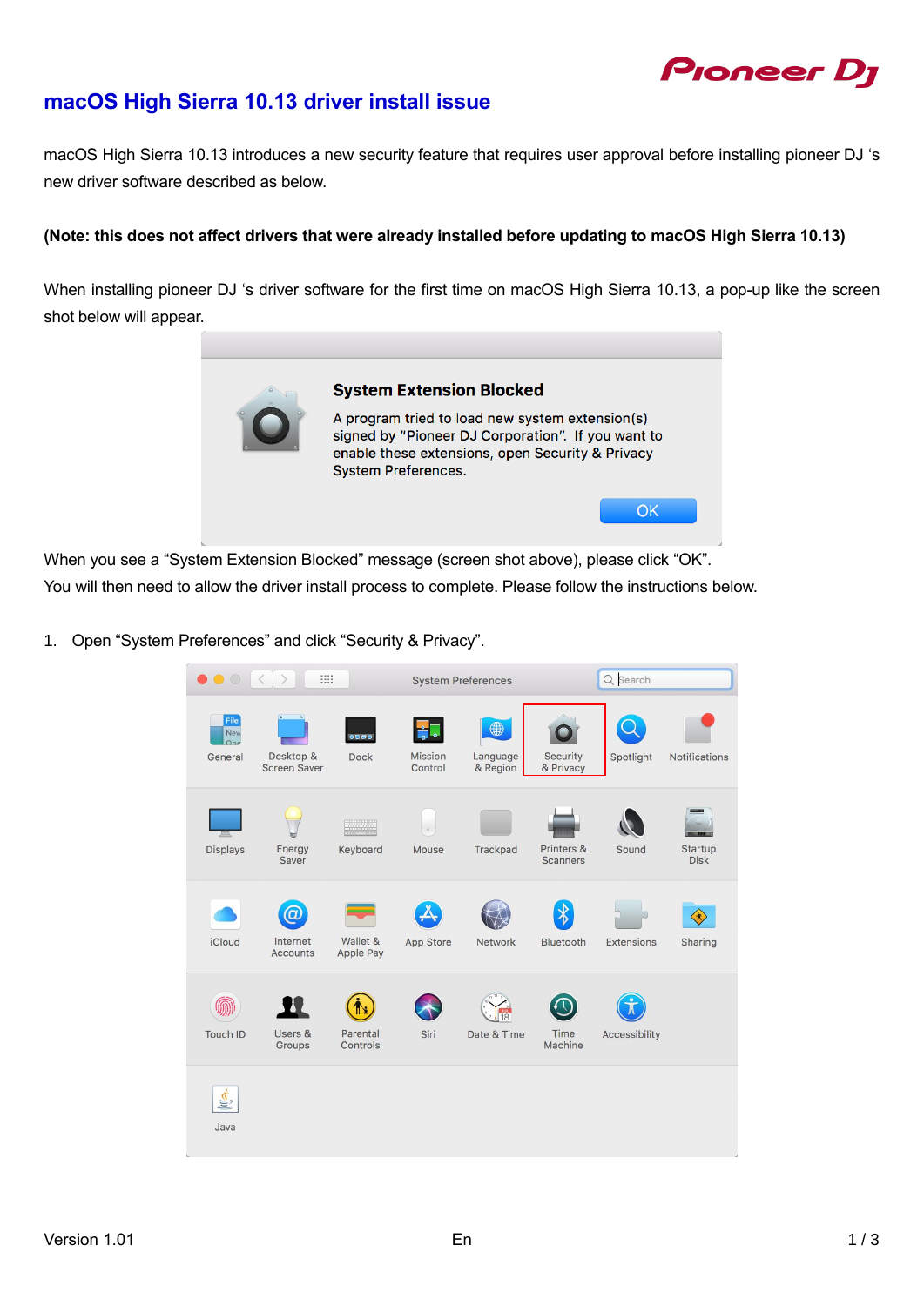# Pioneer Dj

### **macOS High Sierra 10.13 driver install issue**

macOS High Sierra 10.13 introduces a new security feature that requires user approval before installing pioneer DJ 's new driver software described as below.

**(Note: this does not affect drivers that were already installed before updating to macOS High Sierra 10.13)**

When installing pioneer DJ 's driver software for the first time on macOS High Sierra 10.13, a pop-up like the screen shot below will appear.



When you see a "System Extension Blocked" message (screen shot above), please click "OK". You will then need to allow the driver install process to complete. Please follow the instructions below.

1. Open "System Preferences" and click "Security & Privacy".

| $\bullet\bullet\circ$         | $\rightarrow$<br>88<br>$\langle$ |                       |                    | <b>System Preferences</b> |                               | Q Search      |                        |
|-------------------------------|----------------------------------|-----------------------|--------------------|---------------------------|-------------------------------|---------------|------------------------|
| File<br>New<br>One<br>General | Desktop &<br><b>Screen Saver</b> | 0000<br><b>Dock</b>   | Mission<br>Control | 4<br>Language<br>& Region | Security<br>& Privacy         | Spotlight     | <b>Notifications</b>   |
| <b>Displays</b>               | Energy<br>Saver                  | Keyboard              | Mouse              | Trackpad                  | Printers &<br><b>Scanners</b> | Sound         | Startup<br><b>Disk</b> |
| <b>iCloud</b>                 | ά<br>Internet<br><b>Accounts</b> | Wallet &<br>Apple Pay | App Store          | Network                   | Bluetooth                     | Extensions    | 金<br>Sharing           |
| Touch ID                      | Users &<br>Groups                | Parental<br>Controls  | Siri               | Date & Time               | Time<br>Machine               | Accessibility |                        |
| €<br>Java                     |                                  |                       |                    |                           |                               |               |                        |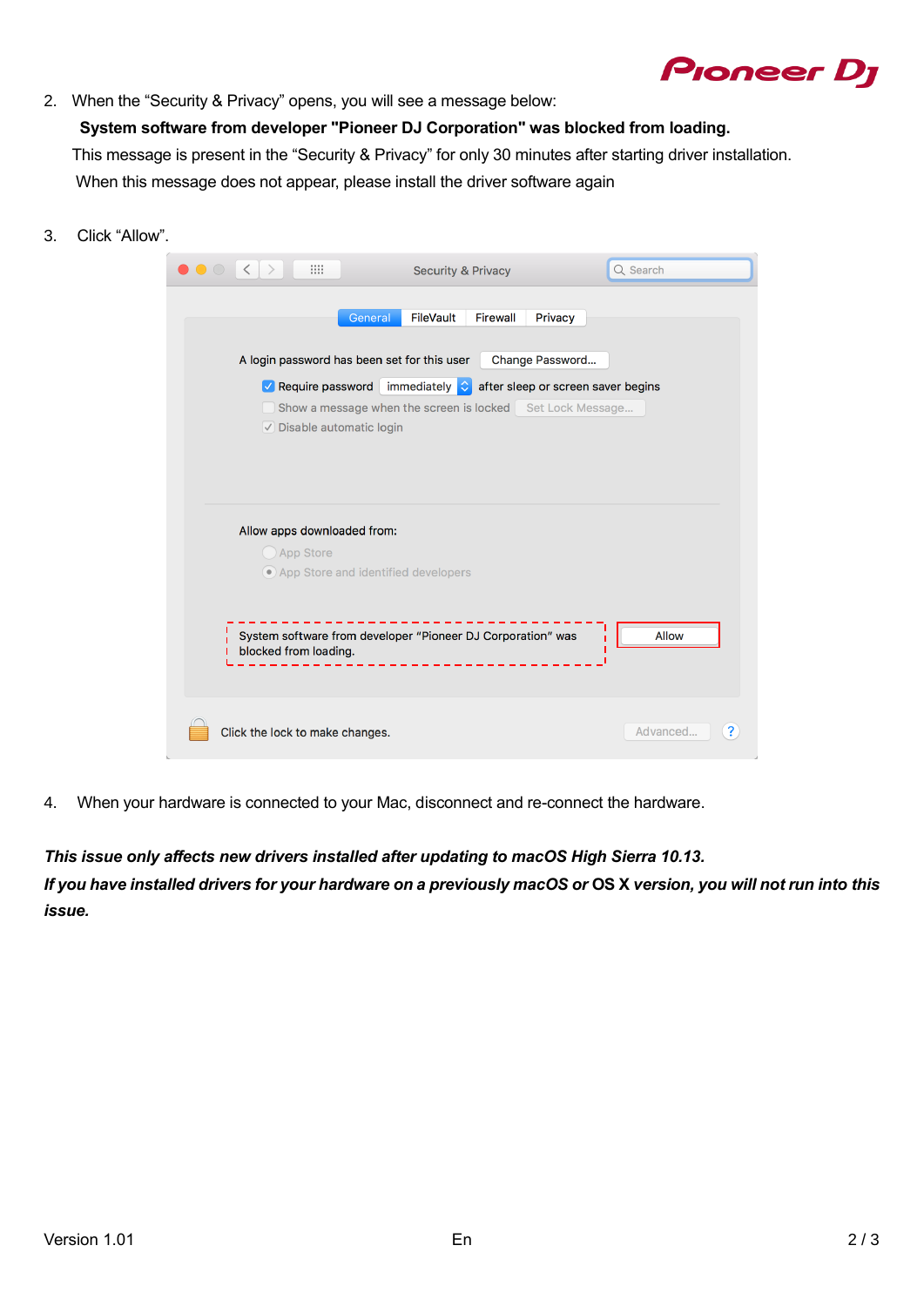## **Pioneer Dy**

2. When the "Security & Privacy" opens, you will see a message below:

**System software from developer "Pioneer DJ Corporation" was blocked from loading.**  This message is present in the "Security & Privacy" for only 30 minutes after starting driver installation. When this message does not appear, please install the driver software again

3. Click "Allow".

| <b>BB</b><br>$\overline{\left( \right. }%$ | <b>Security &amp; Privacy</b>                               | Q Search                           |
|--------------------------------------------|-------------------------------------------------------------|------------------------------------|
|                                            | FileVault<br><b>Firewall</b><br>General                     | Privacy                            |
|                                            | A login password has been set for this user                 | Change Password                    |
| $\vee$ Require password                    | immediately C                                               | after sleep or screen saver begins |
|                                            | Show a message when the screen is locked Set Lock Message   |                                    |
| $\vee$ Disable automatic login             |                                                             |                                    |
|                                            |                                                             |                                    |
|                                            |                                                             |                                    |
|                                            |                                                             |                                    |
| Allow apps downloaded from:                |                                                             |                                    |
| App Store                                  |                                                             |                                    |
|                                            | ● App Store and identified developers                       |                                    |
|                                            |                                                             |                                    |
|                                            |                                                             |                                    |
| blocked from loading.                      | System software from developer "Pioneer DJ Corporation" was | Allow                              |
|                                            |                                                             |                                    |
|                                            |                                                             |                                    |
|                                            |                                                             |                                    |
| Click the lock to make changes.            |                                                             | Advanced                           |
|                                            |                                                             |                                    |

4. When your hardware is connected to your Mac, disconnect and re-connect the hardware.

*This issue only affects new drivers installed after updating to macOS High Sierra 10.13. If you have installed drivers for your hardware on a previously macOS or* **OS X** *version, you will not run into this issue.*